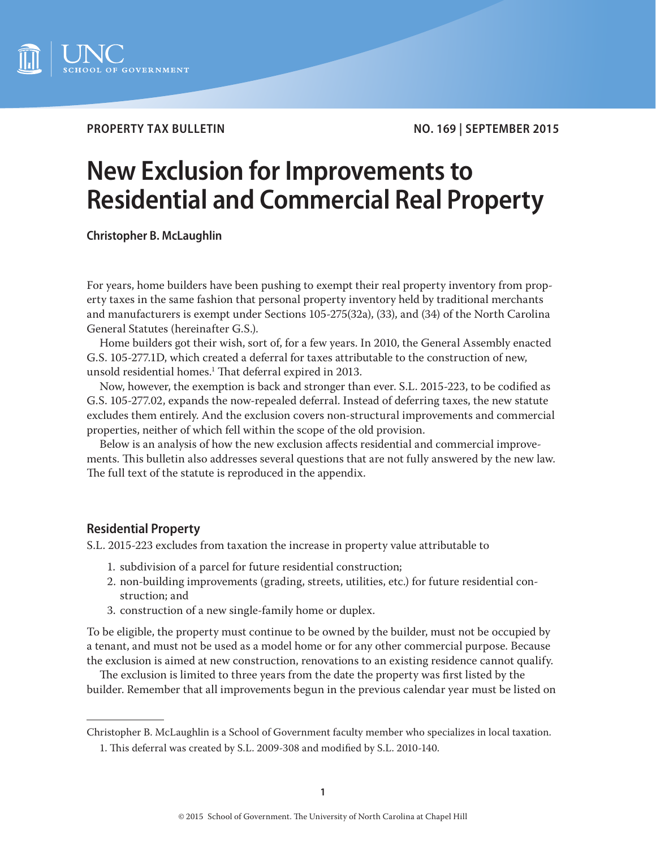

**PROPERTY TAX BULLETIN NO. 169 | SEPTEMBER 2015** 

# **New Exclusion for Improvements to Residential and Commercial Real Property**

**Christopher B. McLaughlin**

For years, home builders have been pushing to exempt their real property inventory from property taxes in the same fashion that personal property inventory held by traditional merchants and manufacturers is exempt under Sections 105-275(32a), (33), and (34) of the North Carolina General Statutes (hereinafter G.S.).

Home builders got their wish, sort of, for a few years. In 2010, the General Assembly enacted G.S. 105-277.1D, which created a deferral for taxes attributable to the construction of new, unsold residential homes.1 That deferral expired in 2013.

Now, however, the exemption is back and stronger than ever. S.L. 2015-223, to be codified as G.S. 105-277.02, expands the now-repealed deferral. Instead of deferring taxes, the new statute excludes them entirely. And the exclusion covers non-structural improvements and commercial properties, neither of which fell within the scope of the old provision.

Below is an analysis of how the new exclusion affects residential and commercial improvements. This bulletin also addresses several questions that are not fully answered by the new law. The full text of the statute is reproduced in the appendix.

# **Residential Property**

S.L. 2015-223 excludes from taxation the increase in property value attributable to

- 1. subdivision of a parcel for future residential construction;
- 2. non-building improvements (grading, streets, utilities, etc.) for future residential construction; and
- 3. construction of a new single-family home or duplex.

To be eligible, the property must continue to be owned by the builder, must not be occupied by a tenant, and must not be used as a model home or for any other commercial purpose. Because the exclusion is aimed at new construction, renovations to an existing residence cannot qualify.

The exclusion is limited to three years from the date the property was first listed by the builder. Remember that all improvements begun in the previous calendar year must be listed on

Christopher B. McLaughlin is a School of Government faculty member who specializes in local taxation.

<sup>1.</sup> This deferral was created by S.L. 2009-308 and modified by S.L. 2010-140.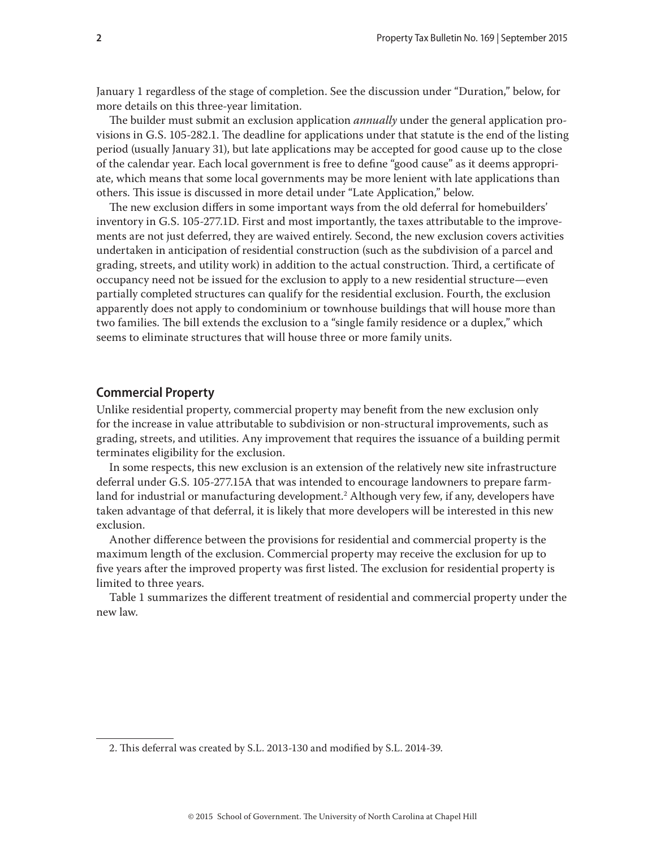<span id="page-1-0"></span>January 1 regardless of the stage of completion. See the discussion under "Duration," below, for more details on this three-year limitation.

The builder must submit an exclusion application *annually* under the general application provisions in G.S. 105-282.1. The deadline for applications under that statute is the end of the listing period (usually January 31), but late applications may be accepted for good cause up to the close of the calendar year. Each local government is free to define "good cause" as it deems appropriate, which means that some local governments may be more lenient with late applications than others. This issue is discussed in more detail under "Late Application," below.

The new exclusion differs in some important ways from the old deferral for homebuilders' inventory in G.S. 105-277.1D. First and most importantly, the taxes attributable to the improvements are not just deferred, they are waived entirely. Second, the new exclusion covers activities undertaken in anticipation of residential construction (such as the subdivision of a parcel and grading, streets, and utility work) in addition to the actual construction. Third, a certificate of occupancy need not be issued for the exclusion to apply to a new residential structure—even partially completed structures can qualify for the residential exclusion. Fourth, the exclusion apparently does not apply to condominium or townhouse buildings that will house more than two families. The bill extends the exclusion to a "single family residence or a duplex," which seems to eliminate structures that will house three or more family units.

# **Commercial Property**

Unlike residential property, commercial property may benefit from the new exclusion only for the increase in value attributable to subdivision or non-structural improvements, such as grading, streets, and utilities. Any improvement that requires the issuance of a building permit terminates eligibility for the exclusion.

In some respects, this new exclusion is an extension of the relatively new site infrastructure deferral under G.S. 105-277.15A that was intended to encourage landowners to prepare farmland for industrial or manufacturing development.2 Although very few, if any, developers have taken advantage of that deferral, it is likely that more developers will be interested in this new exclusion.

Another difference between the provisions for residential and commercial property is the maximum length of the exclusion. Commercial property may receive the exclusion for up to five years after the improved property was first listed. The exclusion for residential property is limited to three years.

Table 1 summarizes the different treatment of residential and commercial property under the new law.

<sup>2.</sup> This deferral was created by S.L. 2013-130 and modified by S.L. 2014-39.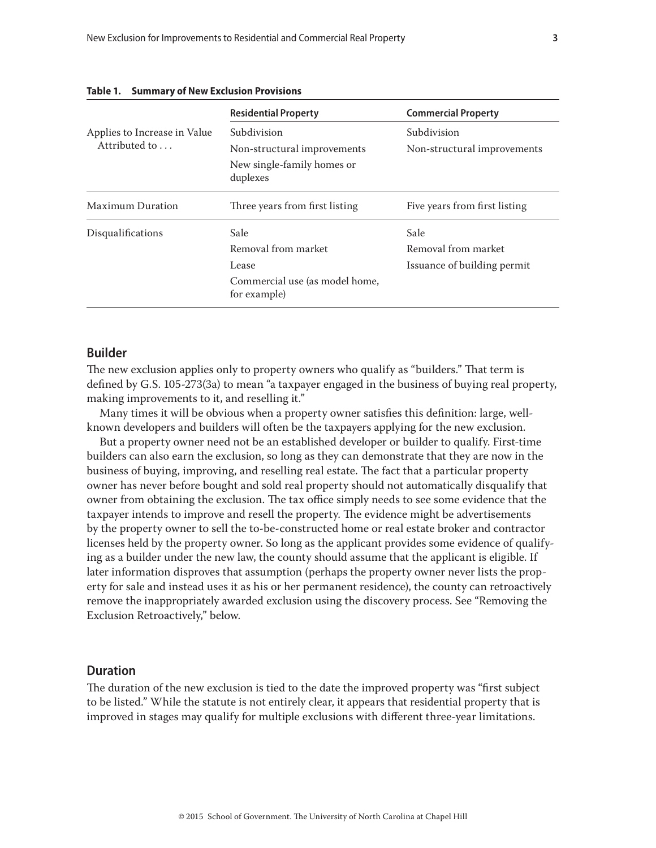|                                               | <b>Residential Property</b>                    | <b>Commercial Property</b>    |
|-----------------------------------------------|------------------------------------------------|-------------------------------|
| Applies to Increase in Value<br>Attributed to | Subdivision                                    | Subdivision                   |
|                                               | Non-structural improvements                    | Non-structural improvements   |
|                                               | New single-family homes or<br>duplexes         |                               |
| <b>Maximum Duration</b>                       | Three years from first listing                 | Five years from first listing |
| Disqualifications                             | Sale                                           | Sale                          |
|                                               | Removal from market                            | Removal from market           |
|                                               | Lease                                          | Issuance of building permit   |
|                                               | Commercial use (as model home,<br>for example) |                               |

#### <span id="page-2-0"></span>**Table 1. Summary of New Exclusion Provisions**

# **Builder**

The new exclusion applies only to property owners who qualify as "builders." That term is defined by G.S. 105-273(3a) to mean "a taxpayer engaged in the business of buying real property, making improvements to it, and reselling it."

Many times it will be obvious when a property owner satisfies this definition: large, wellknown developers and builders will often be the taxpayers applying for the new exclusion.

But a property owner need not be an established developer or builder to qualify. First-time builders can also earn the exclusion, so long as they can demonstrate that they are now in the business of buying, improving, and reselling real estate. The fact that a particular property owner has never before bought and sold real property should not automatically disqualify that owner from obtaining the exclusion. The tax office simply needs to see some evidence that the taxpayer intends to improve and resell the property. The evidence might be advertisements by the property owner to sell the to-be-constructed home or real estate broker and contractor licenses held by the property owner. So long as the applicant provides some evidence of qualifying as a builder under the new law, the county should assume that the applicant is eligible. If later information disproves that assumption (perhaps the property owner never lists the property for sale and instead uses it as his or her permanent residence), the county can retroactively remove the inappropriately awarded exclusion using the discovery process. See "Removing the Exclusion Retroactively," below.

# **Duration**

The duration of the new exclusion is tied to the date the improved property was "first subject to be listed." While the statute is not entirely clear, it appears that residential property that is improved in stages may qualify for multiple exclusions with different three-year limitations.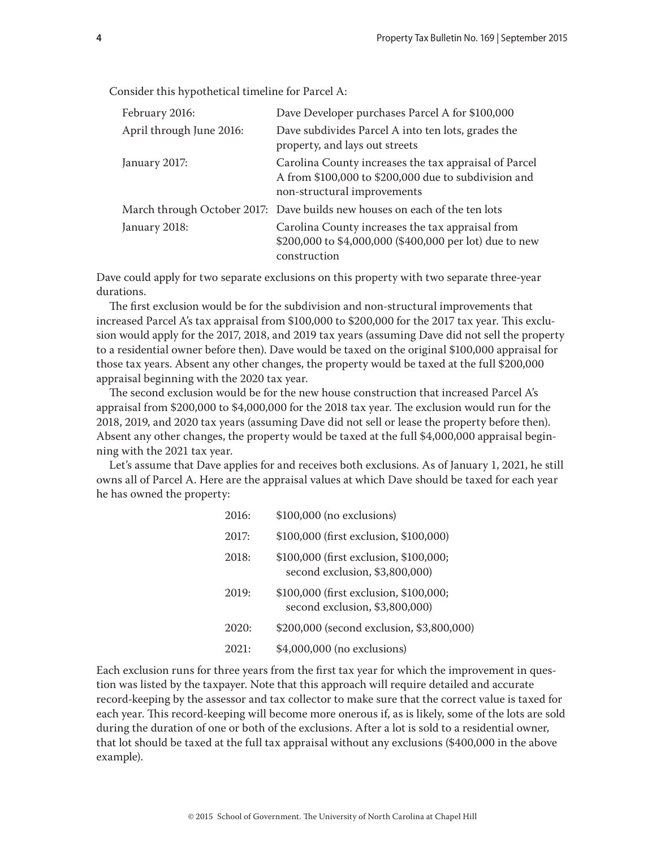Consider this hypothetical timeline for Parcel A:

| February 2016:           | Dave Developer purchases Parcel A for \$100,000                                                                                              |
|--------------------------|----------------------------------------------------------------------------------------------------------------------------------------------|
| April through June 2016: | Dave subdivides Parcel A into ten lots, grades the<br>property, and lays out streets                                                         |
| January 2017:            | Carolina County increases the tax appraisal of Parcel<br>A from \$100,000 to \$200,000 due to subdivision and<br>non-structural improvements |
|                          | March through October 2017: Dave builds new houses on each of the ten lots                                                                   |
| January 2018:            | Carolina County increases the tax appraisal from<br>\$200,000 to \$4,000,000 (\$400,000 per lot) due to new<br>construction                  |

Dave could apply for two separate exclusions on this property with two separate three-year durations.

The first exclusion would be for the subdivision and non-structural improvements that increased Parcel A's tax appraisal from \$100,000 to \$200,000 for the 2017 tax year. This exclusion would apply for the 2017, 2018, and 2019 tax years (assuming Dave did not sell the property to a residential owner before then). Dave would be taxed on the original \$100,000 appraisal for those tax years. Absent any other changes, the property would be taxed at the full \$200,000 appraisal beginning with the 2020 tax year.

The second exclusion would be for the new house construction that increased Parcel A's appraisal from \$200,000 to \$4,000,000 for the 2018 tax year. The exclusion would run for the 2018, 2019, and 2020 tax years (assuming Dave did not sell or lease the property before then). Absent any other changes, the property would be taxed at the full \$4,000,000 appraisal beginning with the 2021 tax year.

Let's assume that Dave applies for and receives both exclusions. As of January 1, 2021, he still owns all of Parcel A. Here are the appraisal values at which Dave should be taxed for each year he has owned the property:

| 2016: | \$100,000 (no exclusions)                                                |
|-------|--------------------------------------------------------------------------|
| 2017: | \$100,000 (first exclusion, \$100,000)                                   |
| 2018: | \$100,000 (first exclusion, \$100,000;<br>second exclusion, \$3,800,000) |
| 2019: | \$100,000 (first exclusion, \$100,000;<br>second exclusion, \$3,800,000) |
| 2020: | \$200,000 (second exclusion, \$3,800,000)                                |
| 2021: | \$4,000,000 (no exclusions)                                              |

Each exclusion runs for three years from the first tax year for which the improvement in question was listed by the taxpayer. Note that this approach will require detailed and accurate record-keeping by the assessor and tax collector to make sure that the correct value is taxed for each year. This record-keeping will become more onerous if, as is likely, some of the lots are sold during the duration of one or both of the exclusions. After a lot is sold to a residential owner, that lot should be taxed at the full tax appraisal without any exclusions (\$400,000 in the above example).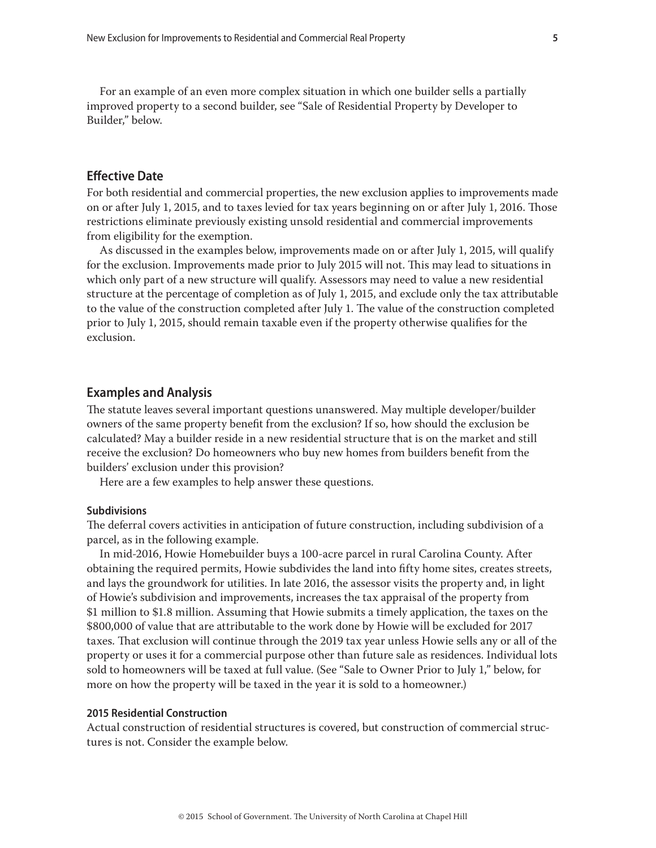<span id="page-4-0"></span>For an example of an even more complex situation in which one builder sells a partially improved property to a second builder, see "Sale of Residential Property by Developer to Builder," below.

# **Effective Date**

For both residential and commercial properties, the new exclusion applies to improvements made on or after July 1, 2015, and to taxes levied for tax years beginning on or after July 1, 2016. Those restrictions eliminate previously existing unsold residential and commercial improvements from eligibility for the exemption.

As discussed in the examples below, improvements made on or after July 1, 2015, will qualify for the exclusion. Improvements made prior to July 2015 will not. This may lead to situations in which only part of a new structure will qualify. Assessors may need to value a new residential structure at the percentage of completion as of July 1, 2015, and exclude only the tax attributable to the value of the construction completed after July 1. The value of the construction completed prior to July 1, 2015, should remain taxable even if the property otherwise qualifies for the exclusion.

## **Examples and Analysis**

The statute leaves several important questions unanswered. May multiple developer/builder owners of the same property benefit from the exclusion? If so, how should the exclusion be calculated? May a builder reside in a new residential structure that is on the market and still receive the exclusion? Do homeowners who buy new homes from builders benefit from the builders' exclusion under this provision?

Here are a few examples to help answer these questions.

## **Subdivisions**

The deferral covers activities in anticipation of future construction, including subdivision of a parcel, as in the following example.

In mid-2016, Howie Homebuilder buys a 100-acre parcel in rural Carolina County. After obtaining the required permits, Howie subdivides the land into fifty home sites, creates streets, and lays the groundwork for utilities. In late 2016, the assessor visits the property and, in light of Howie's subdivision and improvements, increases the tax appraisal of the property from \$1 million to \$1.8 million. Assuming that Howie submits a timely application, the taxes on the \$800,000 of value that are attributable to the work done by Howie will be excluded for 2017 taxes. That exclusion will continue through the 2019 tax year unless Howie sells any or all of the property or uses it for a commercial purpose other than future sale as residences. Individual lots sold to homeowners will be taxed at full value. (See "Sale to Owner Prior to July 1," below, for more on how the property will be taxed in the year it is sold to a homeowner.)

# **2015 Residential Construction**

Actual construction of residential structures is covered, but construction of commercial structures is not. Consider the example below.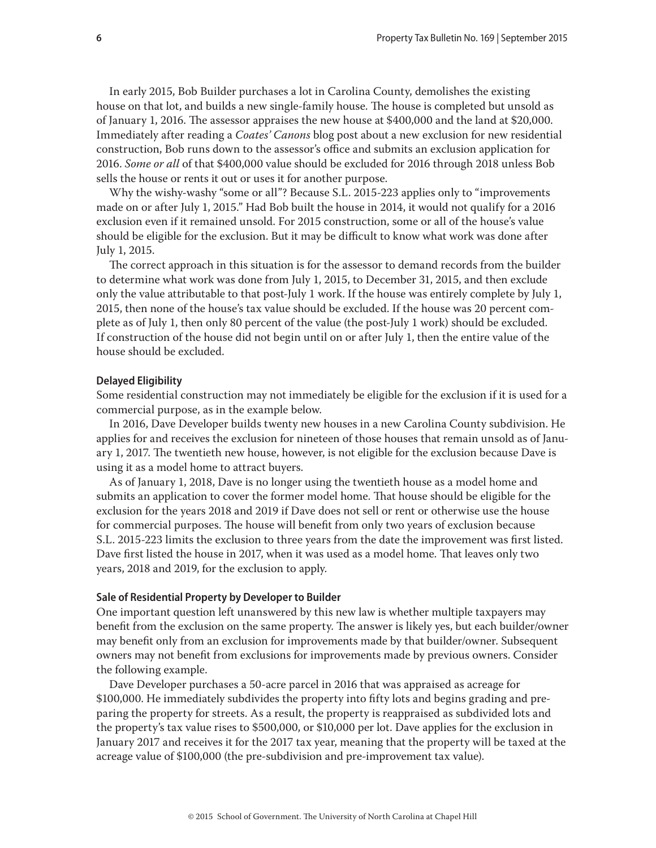<span id="page-5-0"></span>In early 2015, Bob Builder purchases a lot in Carolina County, demolishes the existing house on that lot, and builds a new single-family house. The house is completed but unsold as of January 1, 2016. The assessor appraises the new house at \$400,000 and the land at \$20,000. Immediately after reading a *Coates' Canons* blog post about a new exclusion for new residential construction, Bob runs down to the assessor's office and submits an exclusion application for 2016. *Some or all* of that \$400,000 value should be excluded for 2016 through 2018 unless Bob sells the house or rents it out or uses it for another purpose.

Why the wishy-washy "some or all"? Because S.L. 2015-223 applies only to "improvements made on or after July 1, 2015." Had Bob built the house in 2014, it would not qualify for a 2016 exclusion even if it remained unsold. For 2015 construction, some or all of the house's value should be eligible for the exclusion. But it may be difficult to know what work was done after July 1, 2015.

The correct approach in this situation is for the assessor to demand records from the builder to determine what work was done from July 1, 2015, to December 31, 2015, and then exclude only the value attributable to that post-July 1 work. If the house was entirely complete by July 1, 2015, then none of the house's tax value should be excluded. If the house was 20 percent complete as of July 1, then only 80 percent of the value (the post-July 1 work) should be excluded. If construction of the house did not begin until on or after July 1, then the entire value of the house should be excluded.

#### **Delayed Eligibility**

Some residential construction may not immediately be eligible for the exclusion if it is used for a commercial purpose, as in the example below.

In 2016, Dave Developer builds twenty new houses in a new Carolina County subdivision. He applies for and receives the exclusion for nineteen of those houses that remain unsold as of January 1, 2017. The twentieth new house, however, is not eligible for the exclusion because Dave is using it as a model home to attract buyers.

As of January 1, 2018, Dave is no longer using the twentieth house as a model home and submits an application to cover the former model home. That house should be eligible for the exclusion for the years 2018 and 2019 if Dave does not sell or rent or otherwise use the house for commercial purposes. The house will benefit from only two years of exclusion because S.L. 2015-223 limits the exclusion to three years from the date the improvement was first listed. Dave first listed the house in 2017, when it was used as a model home. That leaves only two years, 2018 and 2019, for the exclusion to apply.

## **Sale of Residential Property by Developer to Builder**

One important question left unanswered by this new law is whether multiple taxpayers may benefit from the exclusion on the same property. The answer is likely yes, but each builder/owner may benefit only from an exclusion for improvements made by that builder/owner. Subsequent owners may not benefit from exclusions for improvements made by previous owners. Consider the following example.

Dave Developer purchases a 50-acre parcel in 2016 that was appraised as acreage for \$100,000. He immediately subdivides the property into fifty lots and begins grading and preparing the property for streets. As a result, the property is reappraised as subdivided lots and the property's tax value rises to \$500,000, or \$10,000 per lot. Dave applies for the exclusion in January 2017 and receives it for the 2017 tax year, meaning that the property will be taxed at the acreage value of \$100,000 (the pre-subdivision and pre-improvement tax value).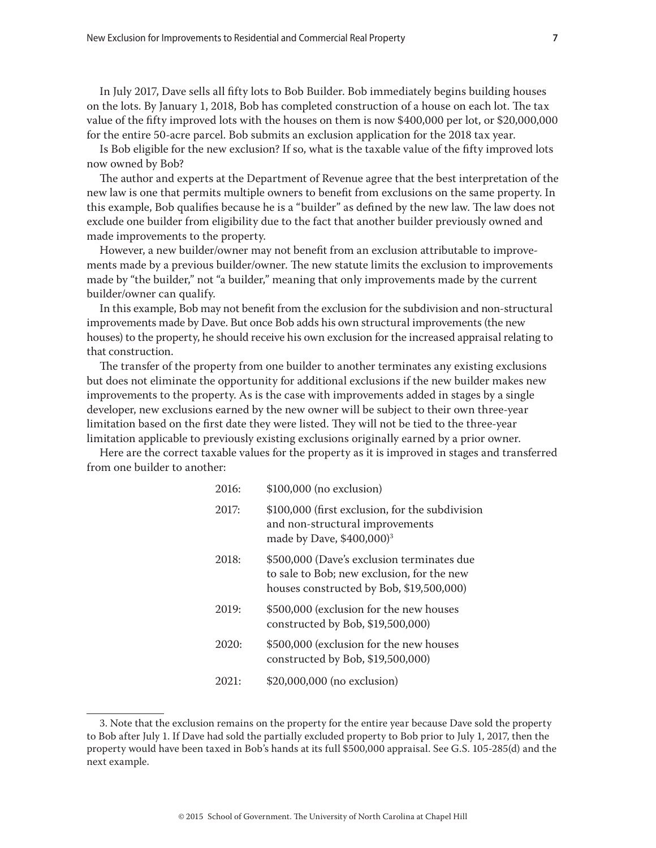In July 2017, Dave sells all fifty lots to Bob Builder. Bob immediately begins building houses on the lots. By January 1, 2018, Bob has completed construction of a house on each lot. The tax value of the fifty improved lots with the houses on them is now \$400,000 per lot, or \$20,000,000 for the entire 50-acre parcel. Bob submits an exclusion application for the 2018 tax year.

Is Bob eligible for the new exclusion? If so, what is the taxable value of the fifty improved lots now owned by Bob?

The author and experts at the Department of Revenue agree that the best interpretation of the new law is one that permits multiple owners to benefit from exclusions on the same property. In this example, Bob qualifies because he is a "builder" as defined by the new law. The law does not exclude one builder from eligibility due to the fact that another builder previously owned and made improvements to the property.

However, a new builder/owner may not benefit from an exclusion attributable to improvements made by a previous builder/owner. The new statute limits the exclusion to improvements made by "the builder," not "a builder," meaning that only improvements made by the current builder/owner can qualify.

In this example, Bob may not benefit from the exclusion for the subdivision and non-structural improvements made by Dave. But once Bob adds his own structural improvements (the new houses) to the property, he should receive his own exclusion for the increased appraisal relating to that construction.

The transfer of the property from one builder to another terminates any existing exclusions but does not eliminate the opportunity for additional exclusions if the new builder makes new improvements to the property. As is the case with improvements added in stages by a single developer, new exclusions earned by the new owner will be subject to their own three-year limitation based on the first date they were listed. They will not be tied to the three-year limitation applicable to previously existing exclusions originally earned by a prior owner.

Here are the correct taxable values for the property as it is improved in stages and transferred from one builder to another:

| 2016: | $$100,000$ (no exclusion)                                                                                                            |
|-------|--------------------------------------------------------------------------------------------------------------------------------------|
| 2017: | \$100,000 (first exclusion, for the subdivision<br>and non-structural improvements<br>made by Dave, \$400,000) <sup>3</sup>          |
| 2018: | \$500,000 (Dave's exclusion terminates due<br>to sale to Bob; new exclusion, for the new<br>houses constructed by Bob, \$19,500,000) |
| 2019: | \$500,000 (exclusion for the new houses<br>constructed by Bob, \$19,500,000)                                                         |
| 2020: | \$500,000 (exclusion for the new houses<br>constructed by Bob, \$19,500,000)                                                         |
| 2021: | \$20,000,000 (no exclusion)                                                                                                          |

<sup>3.</sup> Note that the exclusion remains on the property for the entire year because Dave sold the property to Bob after July 1. If Dave had sold the partially excluded property to Bob prior to July 1, 2017, then the property would have been taxed in Bob's hands at its full \$500,000 appraisal. See G.S. 105-285(d) and the next example.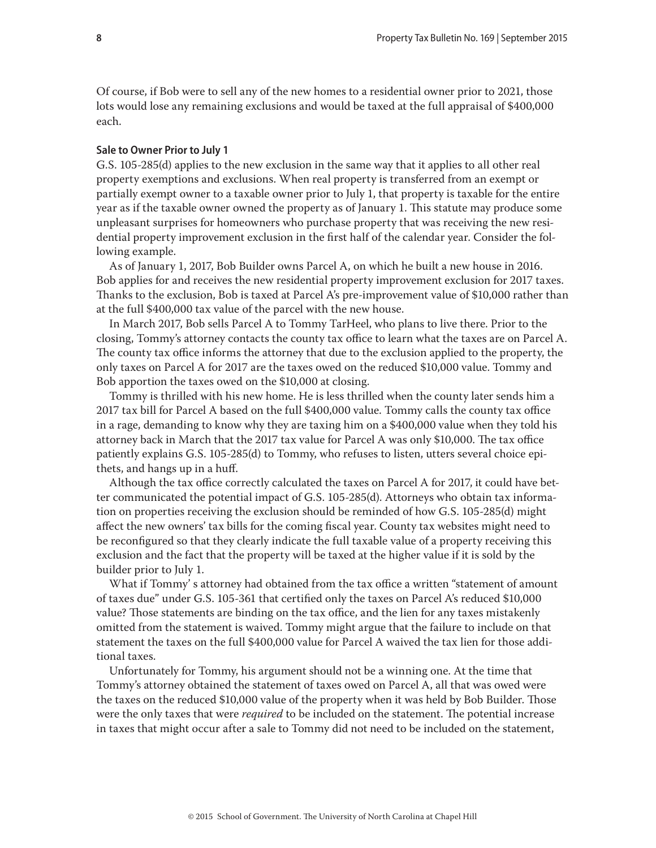<span id="page-7-0"></span>Of course, if Bob were to sell any of the new homes to a residential owner prior to 2021, those lots would lose any remaining exclusions and would be taxed at the full appraisal of \$400,000 each.

#### **Sale to Owner Prior to July 1**

G.S. 105-285(d) applies to the new exclusion in the same way that it applies to all other real property exemptions and exclusions. When real property is transferred from an exempt or partially exempt owner to a taxable owner prior to July 1, that property is taxable for the entire year as if the taxable owner owned the property as of January 1. This statute may produce some unpleasant surprises for homeowners who purchase property that was receiving the new residential property improvement exclusion in the first half of the calendar year. Consider the following example.

As of January 1, 2017, Bob Builder owns Parcel A, on which he built a new house in 2016. Bob applies for and receives the new residential property improvement exclusion for 2017 taxes. Thanks to the exclusion, Bob is taxed at Parcel A's pre-improvement value of \$10,000 rather than at the full \$400,000 tax value of the parcel with the new house.

In March 2017, Bob sells Parcel A to Tommy TarHeel, who plans to live there. Prior to the closing, Tommy's attorney contacts the county tax office to learn what the taxes are on Parcel A. The county tax office informs the attorney that due to the exclusion applied to the property, the only taxes on Parcel A for 2017 are the taxes owed on the reduced \$10,000 value. Tommy and Bob apportion the taxes owed on the \$10,000 at closing.

Tommy is thrilled with his new home. He is less thrilled when the county later sends him a 2017 tax bill for Parcel A based on the full \$400,000 value. Tommy calls the county tax office in a rage, demanding to know why they are taxing him on a \$400,000 value when they told his attorney back in March that the 2017 tax value for Parcel A was only \$10,000. The tax office patiently explains G.S. 105-285(d) to Tommy, who refuses to listen, utters several choice epithets, and hangs up in a huff.

Although the tax office correctly calculated the taxes on Parcel A for 2017, it could have better communicated the potential impact of G.S. 105-285(d). Attorneys who obtain tax information on properties receiving the exclusion should be reminded of how G.S. 105-285(d) might affect the new owners' tax bills for the coming fiscal year. County tax websites might need to be reconfigured so that they clearly indicate the full taxable value of a property receiving this exclusion and the fact that the property will be taxed at the higher value if it is sold by the builder prior to July 1.

What if Tommy's attorney had obtained from the tax office a written "statement of amount of taxes due" under G.S. 105-361 that certified only the taxes on Parcel A's reduced \$10,000 value? Those statements are binding on the tax office, and the lien for any taxes mistakenly omitted from the statement is waived. Tommy might argue that the failure to include on that statement the taxes on the full \$400,000 value for Parcel A waived the tax lien for those additional taxes.

Unfortunately for Tommy, his argument should not be a winning one. At the time that Tommy's attorney obtained the statement of taxes owed on Parcel A, all that was owed were the taxes on the reduced \$10,000 value of the property when it was held by Bob Builder. Those were the only taxes that were *required* to be included on the statement. The potential increase in taxes that might occur after a sale to Tommy did not need to be included on the statement,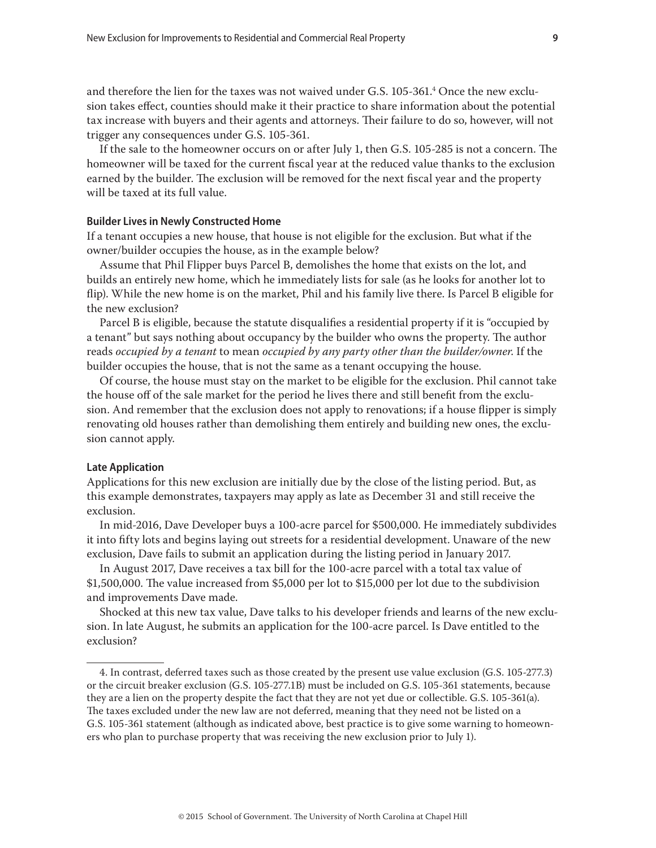<span id="page-8-0"></span>and therefore the lien for the taxes was not waived under G.S.  $105$ -361. $^4$  Once the new exclusion takes effect, counties should make it their practice to share information about the potential tax increase with buyers and their agents and attorneys. Their failure to do so, however, will not trigger any consequences under G.S. 105-361.

If the sale to the homeowner occurs on or after July 1, then G.S. 105-285 is not a concern. The homeowner will be taxed for the current fiscal year at the reduced value thanks to the exclusion earned by the builder. The exclusion will be removed for the next fiscal year and the property will be taxed at its full value.

### **Builder Lives in Newly Constructed Home**

If a tenant occupies a new house, that house is not eligible for the exclusion. But what if the owner/builder occupies the house, as in the example below?

Assume that Phil Flipper buys Parcel B, demolishes the home that exists on the lot, and builds an entirely new home, which he immediately lists for sale (as he looks for another lot to flip). While the new home is on the market, Phil and his family live there. Is Parcel B eligible for the new exclusion?

Parcel B is eligible, because the statute disqualifies a residential property if it is "occupied by a tenant" but says nothing about occupancy by the builder who owns the property. The author reads *occupied by a tenant* to mean *occupied by any party other than the builder/owner*. If the builder occupies the house, that is not the same as a tenant occupying the house.

Of course, the house must stay on the market to be eligible for the exclusion. Phil cannot take the house off of the sale market for the period he lives there and still benefit from the exclusion. And remember that the exclusion does not apply to renovations; if a house flipper is simply renovating old houses rather than demolishing them entirely and building new ones, the exclusion cannot apply.

## **Late Application**

Applications for this new exclusion are initially due by the close of the listing period. But, as this example demonstrates, taxpayers may apply as late as December 31 and still receive the exclusion.

In mid-2016, Dave Developer buys a 100-acre parcel for \$500,000. He immediately subdivides it into fifty lots and begins laying out streets for a residential development. Unaware of the new exclusion, Dave fails to submit an application during the listing period in January 2017.

In August 2017, Dave receives a tax bill for the 100-acre parcel with a total tax value of \$1,500,000. The value increased from \$5,000 per lot to \$15,000 per lot due to the subdivision and improvements Dave made.

Shocked at this new tax value, Dave talks to his developer friends and learns of the new exclusion. In late August, he submits an application for the 100-acre parcel. Is Dave entitled to the exclusion?

<sup>4.</sup> In contrast, deferred taxes such as those created by the present use value exclusion (G.S. 105-277.3) or the circuit breaker exclusion (G.S. 105-277.1B) must be included on G.S. 105-361 statements, because they are a lien on the property despite the fact that they are not yet due or collectible. G.S. 105-361(a). The taxes excluded under the new law are not deferred, meaning that they need not be listed on a G.S. 105-361 statement (although as indicated above, best practice is to give some warning to homeowners who plan to purchase property that was receiving the new exclusion prior to July 1).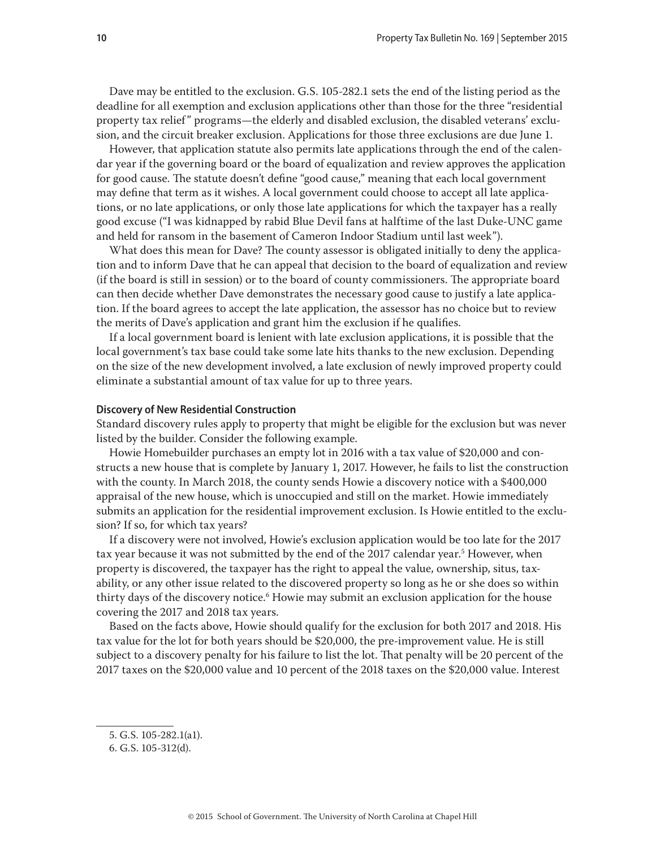<span id="page-9-0"></span>Dave may be entitled to the exclusion. G.S. 105-282.1 sets the end of the listing period as the deadline for all exemption and exclusion applications other than those for the three "residential property tax relief " programs—the elderly and disabled exclusion, the disabled veterans' exclusion, and the circuit breaker exclusion. Applications for those three exclusions are due June 1.

However, that application statute also permits late applications through the end of the calendar year if the governing board or the board of equalization and review approves the application for good cause. The statute doesn't define "good cause," meaning that each local government may define that term as it wishes. A local government could choose to accept all late applications, or no late applications, or only those late applications for which the taxpayer has a really good excuse ("I was kidnapped by rabid Blue Devil fans at halftime of the last Duke-UNC game and held for ransom in the basement of Cameron Indoor Stadium until last week").

What does this mean for Dave? The county assessor is obligated initially to deny the application and to inform Dave that he can appeal that decision to the board of equalization and review (if the board is still in session) or to the board of county commissioners. The appropriate board can then decide whether Dave demonstrates the necessary good cause to justify a late application. If the board agrees to accept the late application, the assessor has no choice but to review the merits of Dave's application and grant him the exclusion if he qualifies.

If a local government board is lenient with late exclusion applications, it is possible that the local government's tax base could take some late hits thanks to the new exclusion. Depending on the size of the new development involved, a late exclusion of newly improved property could eliminate a substantial amount of tax value for up to three years.

#### **Discovery of New Residential Construction**

Standard discovery rules apply to property that might be eligible for the exclusion but was never listed by the builder. Consider the following example.

Howie Homebuilder purchases an empty lot in 2016 with a tax value of \$20,000 and constructs a new house that is complete by January 1, 2017. However, he fails to list the construction with the county. In March 2018, the county sends Howie a discovery notice with a \$400,000 appraisal of the new house, which is unoccupied and still on the market. Howie immediately submits an application for the residential improvement exclusion. Is Howie entitled to the exclusion? If so, for which tax years?

If a discovery were not involved, Howie's exclusion application would be too late for the 2017 tax year because it was not submitted by the end of the 2017 calendar year.<sup>5</sup> However, when property is discovered, the taxpayer has the right to appeal the value, ownership, situs, taxability, or any other issue related to the discovered property so long as he or she does so within thirty days of the discovery notice.<sup>6</sup> Howie may submit an exclusion application for the house covering the 2017 and 2018 tax years.

Based on the facts above, Howie should qualify for the exclusion for both 2017 and 2018. His tax value for the lot for both years should be \$20,000, the pre-improvement value. He is still subject to a discovery penalty for his failure to list the lot. That penalty will be 20 percent of the 2017 taxes on the \$20,000 value and 10 percent of the 2018 taxes on the \$20,000 value. Interest

<sup>5.</sup> G.S. 105-282.1(a1).

<sup>6.</sup> G.S. 105-312(d).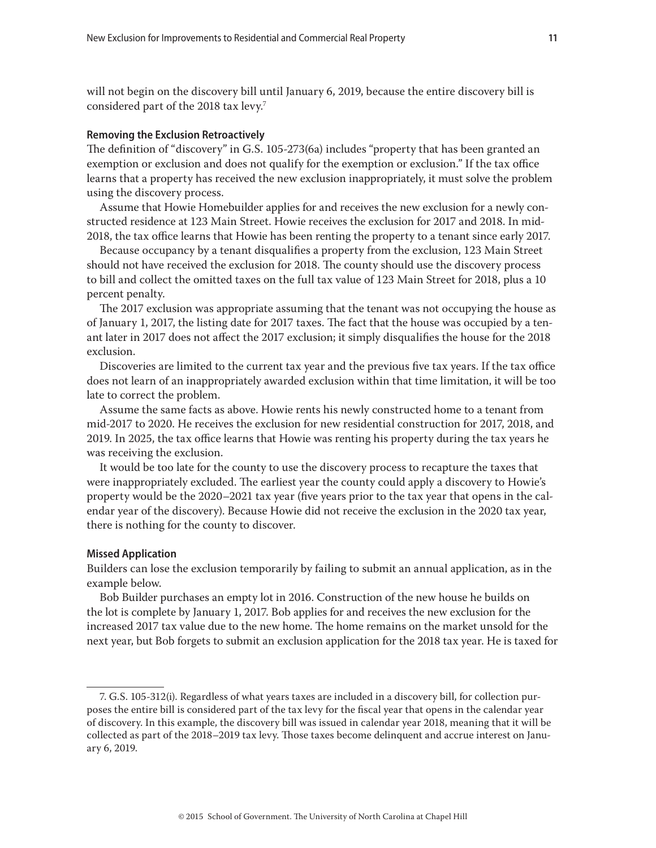<span id="page-10-0"></span>will not begin on the discovery bill until January 6, 2019, because the entire discovery bill is considered part of the 2018 tax levy.<sup>7</sup>

#### **Removing the Exclusion Retroactively**

The definition of "discovery" in G.S. 105-273(6a) includes "property that has been granted an exemption or exclusion and does not qualify for the exemption or exclusion." If the tax office learns that a property has received the new exclusion inappropriately, it must solve the problem using the discovery process.

Assume that Howie Homebuilder applies for and receives the new exclusion for a newly constructed residence at 123 Main Street. Howie receives the exclusion for 2017 and 2018. In mid-2018, the tax office learns that Howie has been renting the property to a tenant since early 2017.

Because occupancy by a tenant disqualifies a property from the exclusion, 123 Main Street should not have received the exclusion for 2018. The county should use the discovery process to bill and collect the omitted taxes on the full tax value of 123 Main Street for 2018, plus a 10 percent penalty.

The 2017 exclusion was appropriate assuming that the tenant was not occupying the house as of January 1, 2017, the listing date for 2017 taxes. The fact that the house was occupied by a tenant later in 2017 does not affect the 2017 exclusion; it simply disqualifies the house for the 2018 exclusion.

Discoveries are limited to the current tax year and the previous five tax years. If the tax office does not learn of an inappropriately awarded exclusion within that time limitation, it will be too late to correct the problem.

Assume the same facts as above. Howie rents his newly constructed home to a tenant from mid-2017 to 2020. He receives the exclusion for new residential construction for 2017, 2018, and 2019. In 2025, the tax office learns that Howie was renting his property during the tax years he was receiving the exclusion.

It would be too late for the county to use the discovery process to recapture the taxes that were inappropriately excluded. The earliest year the county could apply a discovery to Howie's property would be the 2020–2021 tax year (five years prior to the tax year that opens in the calendar year of the discovery). Because Howie did not receive the exclusion in the 2020 tax year, there is nothing for the county to discover.

## **Missed Application**

Builders can lose the exclusion temporarily by failing to submit an annual application, as in the example below.

Bob Builder purchases an empty lot in 2016. Construction of the new house he builds on the lot is complete by January 1, 2017. Bob applies for and receives the new exclusion for the increased 2017 tax value due to the new home. The home remains on the market unsold for the next year, but Bob forgets to submit an exclusion application for the 2018 tax year. He is taxed for

<sup>7.</sup> G.S. 105-312(i). Regardless of what years taxes are included in a discovery bill, for collection purposes the entire bill is considered part of the tax levy for the fiscal year that opens in the calendar year of discovery. In this example, the discovery bill was issued in calendar year 2018, meaning that it will be collected as part of the 2018–2019 tax levy. Those taxes become delinquent and accrue interest on January 6, 2019.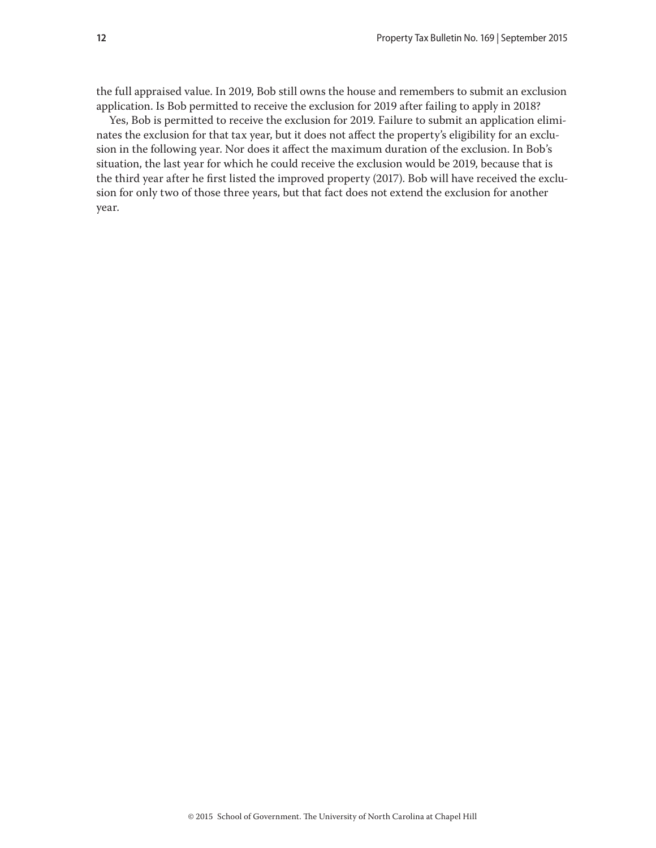the full appraised value. In 2019, Bob still owns the house and remembers to submit an exclusion application. Is Bob permitted to receive the exclusion for 2019 after failing to apply in 2018?

Yes, Bob is permitted to receive the exclusion for 2019. Failure to submit an application eliminates the exclusion for that tax year, but it does not affect the property's eligibility for an exclusion in the following year. Nor does it affect the maximum duration of the exclusion. In Bob's situation, the last year for which he could receive the exclusion would be 2019, because that is the third year after he first listed the improved property (2017). Bob will have received the exclusion for only two of those three years, but that fact does not extend the exclusion for another year.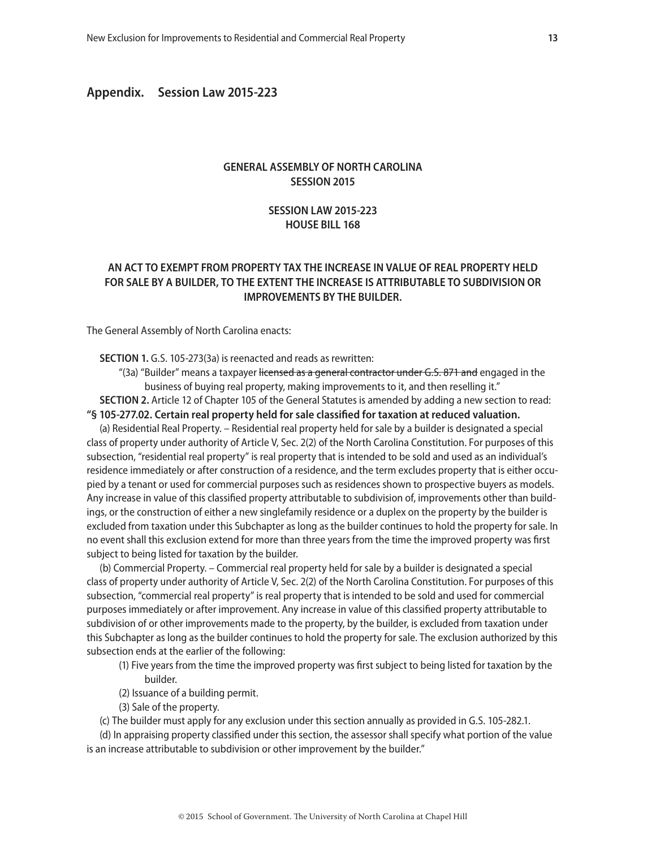# <span id="page-12-0"></span>**Appendix. Session Law 2015-223**

# **GENERAL ASSEMBLY OF NORTH CAROLINA SESSION 2015**

# **SESSION LAW 2015-223 HOUSE BILL 168**

# **AN ACT TO EXEMPT FROM PROPERTY TAX THE INCREASE IN VALUE OF REAL PROPERTY HELD FOR SALE BY A BUILDER, TO THE EXTENT THE INCREASE IS ATTRIBUTABLE TO SUBDIVISION OR IMPROVEMENTS BY THE BUILDER.**

The General Assembly of North Carolina enacts:

**SECTION 1.** G.S. 105-273(3a) is reenacted and reads as rewritten:

"(3a) "Builder" means a taxpayer licensed as a general contractor under G.S. 871 and engaged in the business of buying real property, making improvements to it, and then reselling it."

**SECTION 2.** Article 12 of Chapter 105 of the General Statutes is amended by adding a new section to read: **"§ 105-277.02. Certain real property held for sale classified for taxation at reduced valuation.**

(a) Residential Real Property. – Residential real property held for sale by a builder is designated a special class of property under authority of Article V, Sec. 2(2) of the North Carolina Constitution. For purposes of this subsection, "residential real property" is real property that is intended to be sold and used as an individual's residence immediately or after construction of a residence, and the term excludes property that is either occupied by a tenant or used for commercial purposes such as residences shown to prospective buyers as models. Any increase in value of this classified property attributable to subdivision of, improvements other than buildings, or the construction of either a new singlefamily residence or a duplex on the property by the builder is excluded from taxation under this Subchapter as long as the builder continues to hold the property for sale. In no event shall this exclusion extend for more than three years from the time the improved property was first subject to being listed for taxation by the builder.

(b) Commercial Property. – Commercial real property held for sale by a builder is designated a special class of property under authority of Article V, Sec. 2(2) of the North Carolina Constitution. For purposes of this subsection, "commercial real property" is real property that is intended to be sold and used for commercial purposes immediately or after improvement. Any increase in value of this classified property attributable to subdivision of or other improvements made to the property, by the builder, is excluded from taxation under this Subchapter as long as the builder continues to hold the property for sale. The exclusion authorized by this subsection ends at the earlier of the following:

- (1) Five years from the time the improved property was first subject to being listed for taxation by the builder.
- (2) Issuance of a building permit.
- (3) Sale of the property.
- (c) The builder must apply for any exclusion under this section annually as provided in G.S. 105-282.1.

(d) In appraising property classified under this section, the assessor shall specify what portion of the value is an increase attributable to subdivision or other improvement by the builder."